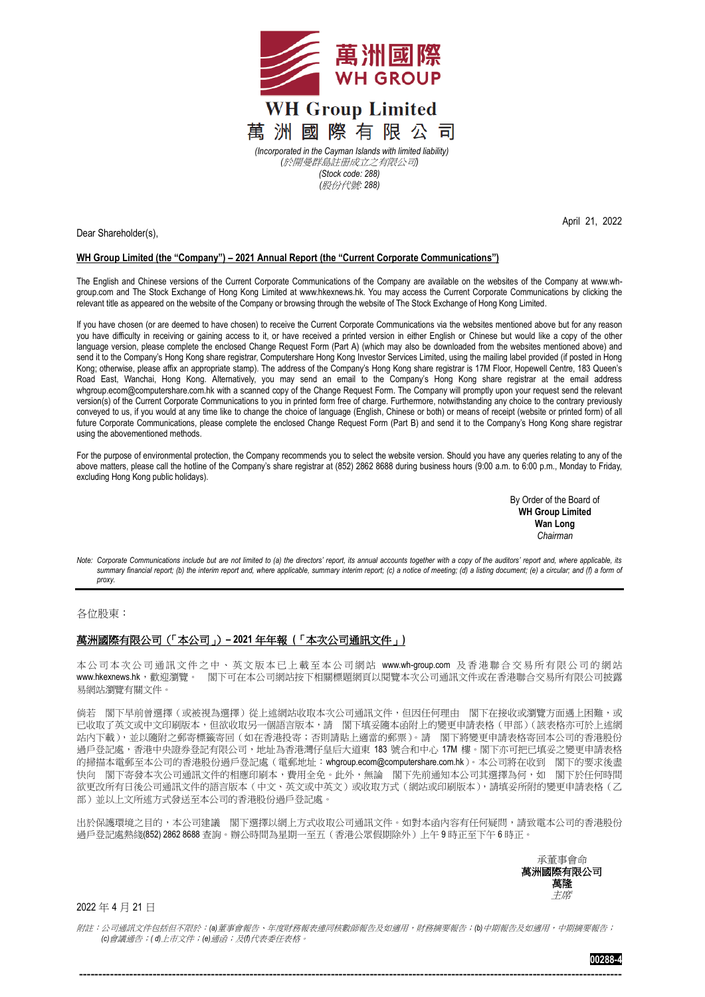

April 21, 2022

Dear Shareholder(s),

## **WH Group Limited (the "Company") – 2021 Annual Report (the "Current Corporate Communications")**

The English and Chinese versions of the Current Corporate Communications of the Company are available on the websites of the Company at [www.wh](http://www.wh-group.com/)[group.com](http://www.wh-group.com/) and The Stock Exchange of Hong Kong Limited at [www.hkexnews.hk.](http://www.hkexnews.hk/) You may access the Current Corporate Communications by clicking the relevant title as appeared on the website of the Company or browsing through the website of The Stock Exchange of Hong Kong Limited.

If you have chosen (or are deemed to have chosen) to receive the Current Corporate Communications via the websites mentioned above but for any reason you have difficulty in receiving or gaining access to it, or have received a printed version in either English or Chinese but would like a copy of the other language version, please complete the enclosed Change Request Form (Part A) (which may also be downloaded from the websites mentioned above) and send it to the Company's Hong Kong share registrar, Computershare Hong Kong Investor Services Limited, using the mailing label provided (if posted in Hong Kong; otherwise, please affix an appropriate stamp). The address of the Company's Hong Kong share registrar is 17M Floor, Hopewell Centre, 183 Queen's Road East, Wanchai, Hong Kong. Alternatively, you may send an email to the Company's Hong Kong share registrar at the email address [whgroup.ecom@computershare.com.hk](mailto:whgroup.ecom@computershare.com.hk) with a scanned copy of the Change Request Form. The Company will promptly upon your request send the relevant version(s) of the Current Corporate Communications to you in printed form free of charge. Furthermore, notwithstanding any choice to the contrary previously conveyed to us, if you would at any time like to change the choice of language (English, Chinese or both) or means of receipt (website or printed form) of all future Corporate Communications, please complete the enclosed Change Request Form (Part B) and send it to the Company's Hong Kong share registrar using the abovementioned methods.

For the purpose of environmental protection, the Company recommends you to select the website version. Should you have any queries relating to any of the above matters, please call the hotline of the Company's share registrar at (852) 2862 8688 during business hours (9:00 a.m. to 6:00 p.m., Monday to Friday, excluding Hong Kong public holidays).

> By Order of the Board of **WH Group Limited Wan Long** *Chairman*

*Note: Corporate Communications include but are not limited to (a) the directors' report, its annual accounts together with a copy of the auditors' report and, where applicable, its summary financial report; (b) the interim report and, where applicable, summary interim report; (c) a notice of meeting; (d) a listing document; (e) a circular; and (f) a form of proxy.*

各位股東:

## 萬洲國際有限公司(「本公司」)**– 2021** 年年報 **(**「本次公司通訊文件」**)**

本公司本次公司通訊文件之中、英文版本已上載至本公司網站 [www.wh-group.com](http://www.wh-group.com/) 及香港聯合交易所有限公司的網站 [www.hkexnews.hk](http://www.hkexnews.hk/), 歡迎瀏覽。 閣下可在本公司網站按下相關標題網頁以閱覽本次公司通訊文件或在香港聯合交易所有限公司披露 易網站瀏覽有關文件。

倘若 閣下早前曾選擇(或被視為選擇)從上述網站收取本次公司通訊文件,但因任何理由 閣下在接收或瀏覽方面遇上困難,或 已收取了英文或中文印刷版本,但欲收取另一個語言版本,請 閣下填妥隨本函附上的變更申請表格(甲部)(該表格亦可於上述網 站內下載),並以隨附之郵寄標籤寄回(如在香港投寄;否則請貼上適當的郵票)。請 閣下將變更申請表格寄回本公司的香港股份 過戶登記處,香港中央證券登記有限公司,地址為香港灣仔皇后大道東 183 號合和中心 17M 樓。閣下亦可把已填妥之變更申請表格 的掃描本電郵至本公司的香港股份過戶登記處(電郵地址:[whgroup.ecom@computershare.com.hk](mailto:whgroup.ecom@computershare.com.hk))。本公司將在收到 閣下的要求後盡 快向 閣下寄發本次公司通訊文件的相應印刷本,費用全免。此外,無論 閣下先前通知本公司其選擇為何,如 閣下於任何時間 欲更改所有日後公司通訊文件的語言版本(中文、英文或中英文)或收取方式(網站或印刷版本),請填妥所附的變更申請表格(乙 部)並以上文所述方式發送至本公司的香港股份過戶登記處。

出於保護環境之目的,本公司建議 閣下選擇以網上方式收取公司通訊文件。如對本函內容有任何疑問,請致電本公司的香港股份 過戶登記處熱綫(852) 2862 8688 查詢。辦公時間為星期一至五(香港公眾假期除外)上午 9 時正至下午 6 時正。

> 承董事會命 萬洲國際有限公司 萬隆 主席

2022 年 4 月 21 日

附註:公司通訊文件包括但不限於:*(a)*董事會報告、年度財務報表連同核數師報告及如適用,財務摘要報告;*(b)*中期報告及如適用,中期摘要報告; *(c)*會議通告;*( d)*上市文件;*(e)*通函;及*(f)*代表委任表格。

--------------------------------------------------------------------------------------------------------------------------------------------